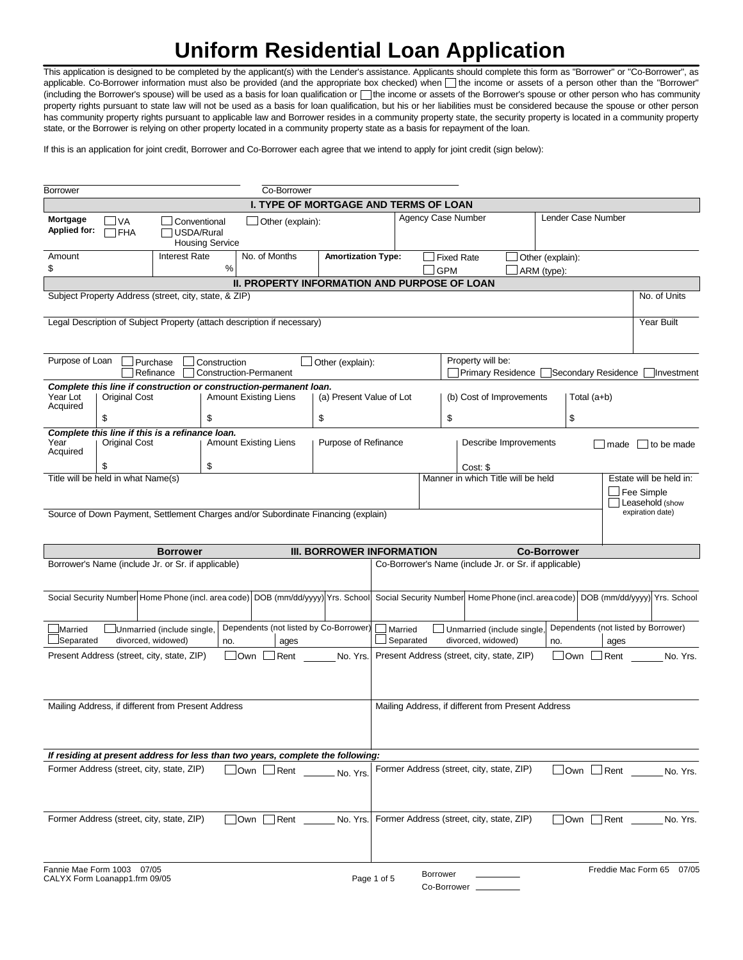## **Uniform Residential Loan Application**

This application is designed to be completed by the applicant(s) with the Lender's assistance. Applicants should complete this form as "Borrower" or "Co-Borrower", as applicable. Co-Borrower information must also be provided (and the appropriate box checked) when  $\Box$  the income or assets of a person other than the "Borrower" (including the Borrower's spouse) will be used as a basis for loan qualification or  $\Box$  the income or assets of the Borrower's spouse or other person who has community property rights pursuant to state law will not be used as a basis for loan qualification, but his or her liabilities must be considered because the spouse or other person has community property rights pursuant to applicable law and Borrower resides in a community property state, the security property is located in a community property state, or the Borrower is relying on other property located in a community property state as a basis for repayment of the loan.

If this is an application for joint credit, Borrower and Co-Borrower each agree that we intend to apply for joint credit (sign below):

| Borrower                           |                         |                                                       |                                                      | Co-Borrower                                                                                                                                                       |                           |                                                       |                           |                                            |                                       |                  |                    |                               |                                     |
|------------------------------------|-------------------------|-------------------------------------------------------|------------------------------------------------------|-------------------------------------------------------------------------------------------------------------------------------------------------------------------|---------------------------|-------------------------------------------------------|---------------------------|--------------------------------------------|---------------------------------------|------------------|--------------------|-------------------------------|-------------------------------------|
|                                    |                         |                                                       |                                                      | I. TYPE OF MORTGAGE AND TERMS OF LOAN                                                                                                                             |                           |                                                       |                           |                                            |                                       |                  |                    |                               |                                     |
| Mortgage<br><b>Applied for:</b>    | <b>VA</b><br><b>FHA</b> |                                                       | Conventional<br>USDA/Rural<br><b>Housing Service</b> | $\Box$ Other (explain):                                                                                                                                           |                           |                                                       | <b>Agency Case Number</b> |                                            |                                       |                  | Lender Case Number |                               |                                     |
| Amount<br>\$                       |                         | <b>Interest Rate</b>                                  | $\%$                                                 | No. of Months                                                                                                                                                     | <b>Amortization Type:</b> |                                                       |                           | <b>Fixed Rate</b>                          |                                       | Other (explain): |                    |                               |                                     |
|                                    |                         |                                                       |                                                      | <b>II. PROPERTY INFORMATION AND PURPOSE OF LOAN</b>                                                                                                               |                           |                                                       | <b>GPM</b>                |                                            | ARM (type):                           |                  |                    |                               |                                     |
|                                    |                         | Subject Property Address (street, city, state, & ZIP) |                                                      |                                                                                                                                                                   |                           |                                                       |                           |                                            |                                       |                  |                    |                               | No. of Units                        |
|                                    |                         |                                                       |                                                      |                                                                                                                                                                   |                           |                                                       |                           |                                            |                                       |                  |                    |                               |                                     |
|                                    |                         |                                                       |                                                      | Legal Description of Subject Property (attach description if necessary)                                                                                           |                           |                                                       |                           |                                            |                                       |                  |                    |                               | Year Built                          |
| Purpose of Loan                    |                         | Purchase<br>Refinance                                 | Construction<br><b>Construction-Permanent</b>        |                                                                                                                                                                   | Other (explain):          |                                                       |                           | Property will be:                          | Primary Residence Secondary Residence |                  |                    |                               | <b>Investment</b>                   |
|                                    |                         |                                                       |                                                      | Complete this line if construction or construction-permanent loan.                                                                                                |                           |                                                       |                           |                                            |                                       |                  |                    |                               |                                     |
| Year Lot<br>Acquired               | <b>Original Cost</b>    |                                                       |                                                      | <b>Amount Existing Liens</b>                                                                                                                                      | (a) Present Value of Lot  |                                                       |                           |                                            | (b) Cost of Improvements              |                  | Total $(a+b)$      |                               |                                     |
|                                    | \$                      |                                                       | \$                                                   |                                                                                                                                                                   | \$                        |                                                       | \$                        |                                            |                                       | \$               |                    |                               |                                     |
|                                    |                         | Complete this line if this is a refinance loan.       |                                                      |                                                                                                                                                                   |                           |                                                       |                           |                                            |                                       |                  |                    |                               |                                     |
| Year<br>Acquired                   | Original Cost           |                                                       |                                                      | <b>Amount Existing Liens</b>                                                                                                                                      | Purpose of Refinance      |                                                       |                           |                                            | Describe Improvements                 |                  |                    | made                          | to be made                          |
|                                    | \$                      |                                                       | \$                                                   |                                                                                                                                                                   |                           |                                                       |                           | Cost: \$                                   |                                       |                  |                    |                               |                                     |
| Title will be held in what Name(s) |                         |                                                       |                                                      |                                                                                                                                                                   |                           |                                                       |                           |                                            | Manner in which Title will be held    |                  |                    |                               | Estate will be held in:             |
|                                    |                         |                                                       |                                                      |                                                                                                                                                                   |                           |                                                       |                           |                                            |                                       |                  |                    |                               | Fee Simple<br>Leasehold (show       |
|                                    |                         |                                                       |                                                      | Source of Down Payment, Settlement Charges and/or Subordinate Financing (explain)                                                                                 |                           |                                                       |                           |                                            |                                       |                  |                    |                               | expiration date)                    |
|                                    |                         |                                                       |                                                      |                                                                                                                                                                   |                           |                                                       |                           |                                            |                                       |                  |                    |                               |                                     |
|                                    |                         | <b>Borrower</b>                                       |                                                      |                                                                                                                                                                   | III. BORROWER INFORMATION |                                                       |                           |                                            | <b>Co-Borrower</b>                    |                  |                    |                               |                                     |
|                                    |                         | Borrower's Name (include Jr. or Sr. if applicable)    |                                                      |                                                                                                                                                                   |                           | Co-Borrower's Name (include Jr. or Sr. if applicable) |                           |                                            |                                       |                  |                    |                               |                                     |
|                                    |                         |                                                       |                                                      |                                                                                                                                                                   |                           |                                                       |                           |                                            |                                       |                  |                    |                               |                                     |
|                                    |                         |                                                       |                                                      | Social Security Number Home Phone (incl. area code) DOB (mm/dd/yyyy) Yrs. School Social Security Number Home Phone (incl. area code) DOB (mm/dd/yyyy) Yrs. School |                           |                                                       |                           |                                            |                                       |                  |                    |                               |                                     |
|                                    |                         |                                                       |                                                      |                                                                                                                                                                   |                           |                                                       |                           |                                            |                                       |                  |                    |                               |                                     |
| Married                            |                         | Unmarried (include single,                            |                                                      | Dependents (not listed by Co-Borrower)                                                                                                                            |                           | Married                                               |                           |                                            | Unmarried (include single,            |                  |                    |                               | Dependents (not listed by Borrower) |
| Separated                          |                         | divorced, widowed)                                    | no.                                                  | ages                                                                                                                                                              |                           | Separated                                             |                           | divorced, widowed)                         |                                       | no.              |                    | ages                          |                                     |
|                                    |                         | Present Address (street, city, state, ZIP)            | __lOwn L                                             | Rent                                                                                                                                                              | No. Yrs.                  |                                                       |                           | Present Address (street, city, state, ZIP) |                                       | Own I            |                    | Rent                          | No. Yrs.                            |
|                                    |                         |                                                       |                                                      |                                                                                                                                                                   |                           |                                                       |                           |                                            |                                       |                  |                    |                               |                                     |
|                                    |                         |                                                       |                                                      |                                                                                                                                                                   |                           |                                                       |                           |                                            |                                       |                  |                    |                               |                                     |
|                                    |                         | Mailing Address, if different from Present Address    |                                                      |                                                                                                                                                                   |                           | Mailing Address, if different from Present Address    |                           |                                            |                                       |                  |                    |                               |                                     |
|                                    |                         |                                                       |                                                      |                                                                                                                                                                   |                           |                                                       |                           |                                            |                                       |                  |                    |                               |                                     |
|                                    |                         |                                                       |                                                      |                                                                                                                                                                   |                           |                                                       |                           |                                            |                                       |                  |                    |                               |                                     |
|                                    |                         |                                                       |                                                      | If residing at present address for less than two years, complete the following:                                                                                   |                           |                                                       |                           |                                            |                                       |                  |                    |                               |                                     |
|                                    |                         | Former Address (street, city, state, ZIP)             |                                                      | $\Box$ Own $\Box$ Rent                                                                                                                                            | No. Yrs.                  |                                                       |                           | Former Address (street, city, state, ZIP)  |                                       |                  |                    | $\Box$ Own $\Box$ Rent $\Box$ | No. Yrs.                            |
|                                    |                         |                                                       |                                                      |                                                                                                                                                                   |                           |                                                       |                           |                                            |                                       |                  |                    |                               |                                     |
|                                    |                         |                                                       |                                                      |                                                                                                                                                                   |                           |                                                       |                           |                                            |                                       |                  |                    |                               |                                     |
|                                    |                         |                                                       |                                                      |                                                                                                                                                                   |                           |                                                       |                           |                                            |                                       |                  |                    |                               |                                     |
|                                    |                         | Former Address (street, city, state, ZIP)             |                                                      | Own   Rent No. Yrs.                                                                                                                                               |                           |                                                       |                           | Former Address (street, city, state, ZIP)  |                                       | Own              |                    |                               | $\Box$ Rent _________ No. Yrs.      |
|                                    |                         |                                                       |                                                      |                                                                                                                                                                   |                           |                                                       |                           |                                            |                                       |                  |                    |                               |                                     |
|                                    |                         |                                                       |                                                      |                                                                                                                                                                   |                           |                                                       |                           |                                            |                                       |                  |                    |                               |                                     |

Co-Borrower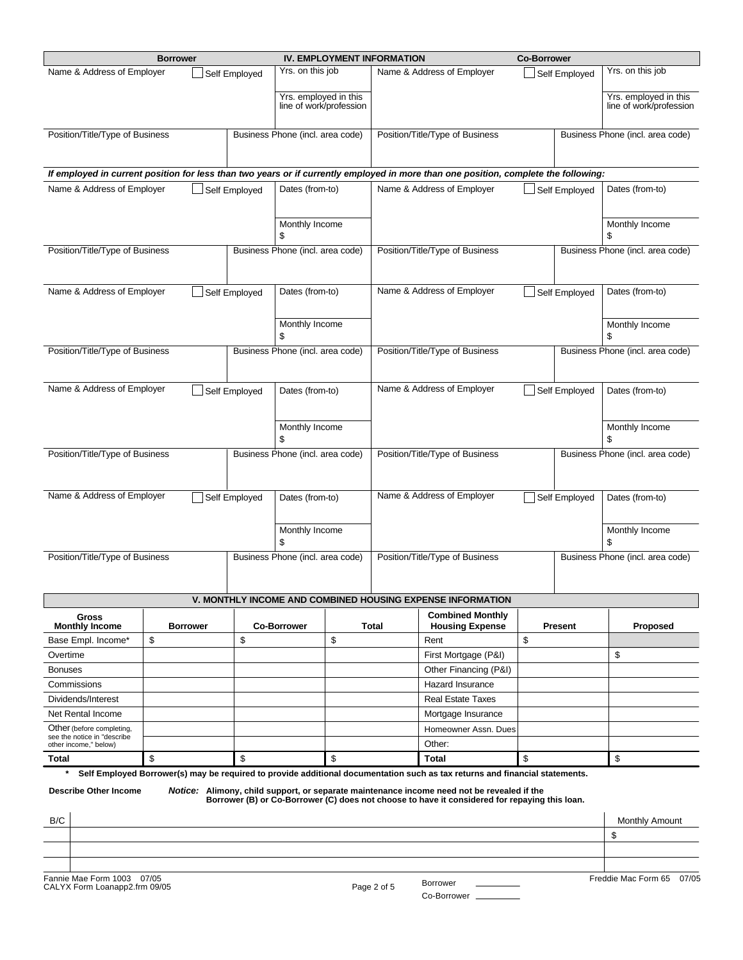|                                                          | <b>Borrower</b> |               |                                                  | <b>IV. EMPLOYMENT INFORMATION</b> |       |                                                                                                                                                                                                    | <b>Co-Borrower</b> |               |                                                  |
|----------------------------------------------------------|-----------------|---------------|--------------------------------------------------|-----------------------------------|-------|----------------------------------------------------------------------------------------------------------------------------------------------------------------------------------------------------|--------------------|---------------|--------------------------------------------------|
| Name & Address of Employer                               |                 | Self Employed | Yrs. on this job                                 |                                   |       | Name & Address of Employer                                                                                                                                                                         |                    | Self Employed | Yrs. on this job                                 |
|                                                          |                 |               | Yrs. employed in this<br>line of work/profession |                                   |       |                                                                                                                                                                                                    |                    |               | Yrs. employed in this<br>line of work/profession |
|                                                          |                 |               |                                                  |                                   |       |                                                                                                                                                                                                    |                    |               |                                                  |
| Position/Title/Type of Business                          |                 |               | Business Phone (incl. area code)                 |                                   |       | Position/Title/Type of Business                                                                                                                                                                    |                    |               | Business Phone (incl. area code)                 |
|                                                          |                 |               |                                                  |                                   |       |                                                                                                                                                                                                    |                    |               |                                                  |
|                                                          |                 |               |                                                  |                                   |       | If employed in current position for less than two years or if currently employed in more than one position, complete the following:                                                                |                    |               |                                                  |
| Name & Address of Employer                               |                 | Self Employed | Dates (from-to)                                  |                                   |       | Name & Address of Employer                                                                                                                                                                         |                    | Self Employed | Dates (from-to)                                  |
|                                                          |                 |               |                                                  |                                   |       |                                                                                                                                                                                                    |                    |               |                                                  |
|                                                          |                 |               | Monthly Income                                   |                                   |       |                                                                                                                                                                                                    |                    |               | Monthly Income                                   |
| Position/Title/Type of Business                          |                 |               | Business Phone (incl. area code)                 |                                   |       | Position/Title/Type of Business                                                                                                                                                                    |                    |               | Business Phone (incl. area code)                 |
| Name & Address of Employer                               |                 | Self Employed | Dates (from-to)                                  |                                   |       | Name & Address of Employer                                                                                                                                                                         |                    | Self Employed | Dates (from-to)                                  |
|                                                          |                 |               | Monthly Income<br>\$                             |                                   |       |                                                                                                                                                                                                    |                    |               | Monthly Income                                   |
| Position/Title/Type of Business                          |                 |               | Business Phone (incl. area code)                 |                                   |       | Position/Title/Type of Business                                                                                                                                                                    |                    |               | Business Phone (incl. area code)                 |
|                                                          |                 |               |                                                  |                                   |       |                                                                                                                                                                                                    |                    |               |                                                  |
| Name & Address of Employer                               |                 |               |                                                  |                                   |       | Name & Address of Employer                                                                                                                                                                         |                    |               |                                                  |
|                                                          |                 | Self Employed | Dates (from-to)                                  |                                   |       |                                                                                                                                                                                                    |                    | Self Employed | Dates (from-to)                                  |
|                                                          |                 |               |                                                  |                                   |       |                                                                                                                                                                                                    |                    |               |                                                  |
|                                                          |                 |               | Monthly Income<br>\$                             |                                   |       |                                                                                                                                                                                                    |                    |               | Monthly Income                                   |
| Position/Title/Type of Business                          |                 |               | Business Phone (incl. area code)                 |                                   |       | Position/Title/Type of Business                                                                                                                                                                    |                    |               | Business Phone (incl. area code)                 |
|                                                          |                 |               |                                                  |                                   |       |                                                                                                                                                                                                    |                    |               |                                                  |
|                                                          |                 |               |                                                  |                                   |       |                                                                                                                                                                                                    |                    |               |                                                  |
| Name & Address of Employer                               |                 | Self Employed | Dates (from-to)                                  |                                   |       | Name & Address of Employer                                                                                                                                                                         |                    | Self Employed | Dates (from-to)                                  |
|                                                          |                 |               |                                                  |                                   |       |                                                                                                                                                                                                    |                    |               |                                                  |
|                                                          |                 |               | Monthly Income                                   |                                   |       |                                                                                                                                                                                                    |                    |               | Monthly Income                                   |
|                                                          |                 |               |                                                  |                                   |       |                                                                                                                                                                                                    |                    |               |                                                  |
| Position/Title/Type of Business                          |                 |               | Business Phone (incl. area code)                 |                                   |       | Position/Title/Type of Business                                                                                                                                                                    |                    |               | Business Phone (incl. area code)                 |
|                                                          |                 |               |                                                  |                                   |       |                                                                                                                                                                                                    |                    |               |                                                  |
|                                                          |                 |               |                                                  |                                   |       | V. MONTHLY INCOME AND COMBINED HOUSING EXPENSE INFORMATION                                                                                                                                         |                    |               |                                                  |
| <b>Gross</b><br><b>Monthly Income</b>                    | <b>Borrower</b> |               | <b>Co-Borrower</b>                               |                                   | Total | <b>Combined Monthly</b><br><b>Housing Expense</b>                                                                                                                                                  |                    | Present       | Proposed                                         |
| Base Empl. Income*                                       | \$              | \$            |                                                  | \$                                |       | Rent                                                                                                                                                                                               | \$                 |               |                                                  |
| Overtime                                                 |                 |               |                                                  |                                   |       | First Mortgage (P&I)                                                                                                                                                                               |                    |               | \$                                               |
| <b>Bonuses</b>                                           |                 |               |                                                  |                                   |       | Other Financing (P&I)                                                                                                                                                                              |                    |               |                                                  |
| Commissions                                              |                 |               |                                                  |                                   |       | Hazard Insurance                                                                                                                                                                                   |                    |               |                                                  |
| Dividends/Interest                                       |                 |               |                                                  |                                   |       | <b>Real Estate Taxes</b>                                                                                                                                                                           |                    |               |                                                  |
| Net Rental Income                                        |                 |               |                                                  |                                   |       | Mortgage Insurance                                                                                                                                                                                 |                    |               |                                                  |
| Other (before completing,<br>see the notice in "describe |                 |               |                                                  |                                   |       | Homeowner Assn. Dues                                                                                                                                                                               |                    |               |                                                  |
| other income." below)                                    |                 |               |                                                  |                                   |       | Other:                                                                                                                                                                                             |                    |               |                                                  |
| <b>Total</b>                                             | \$              | \$            |                                                  | \$                                |       | <b>Total</b>                                                                                                                                                                                       | \$                 |               | \$                                               |
|                                                          |                 |               |                                                  |                                   |       | Self Employed Borrower(s) may be required to provide additional documentation such as tax returns and financial statements.                                                                        |                    |               |                                                  |
| <b>Describe Other Income</b>                             |                 |               |                                                  |                                   |       | <i>Notice:</i> Alimony, child support, or separate maintenance income need not be revealed if the<br>Borrower (B) or Co-Borrower (C) does not choose to have it considered for repaying this loan. |                    |               |                                                  |

|     | $\frac{1}{2}$ , $\frac{1}{2}$ , $\frac{1}{2}$ , $\frac{1}{2}$ , $\frac{1}{2}$ , $\frac{1}{2}$ , $\frac{1}{2}$ , $\frac{1}{2}$ , $\frac{1}{2}$ , $\frac{1}{2}$ , $\frac{1}{2}$ , $\frac{1}{2}$ , $\frac{1}{2}$ , $\frac{1}{2}$ , $\frac{1}{2}$ , $\frac{1}{2}$ , $\frac{1}{2}$ , $\frac{1}{2}$ , $\frac{1$ |                     |
|-----|-----------------------------------------------------------------------------------------------------------------------------------------------------------------------------------------------------------------------------------------------------------------------------------------------------------|---------------------|
| B/C |                                                                                                                                                                                                                                                                                                           | Monthly<br>' Amount |
|     |                                                                                                                                                                                                                                                                                                           |                     |

Fannie Mae Form 1003 07/05 CALYX Form Loanapp2.frm 09/05

i.

Freddie Mac Form 65 07/05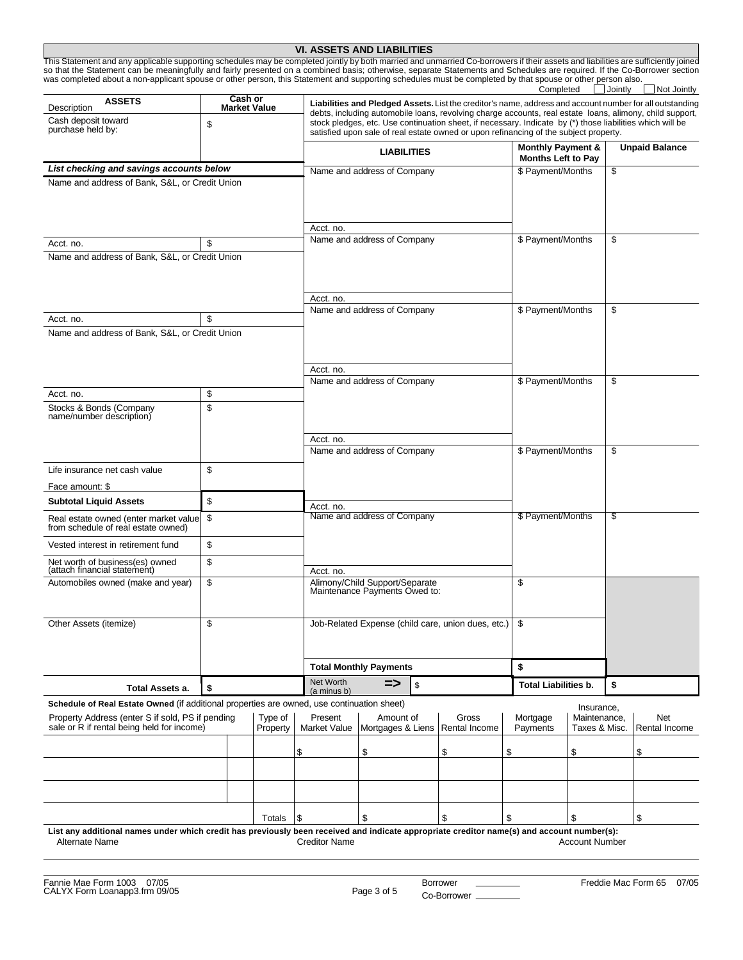| This Statement and any applicable supporting schedules may be completed jointly by both married and unmarried Co-borrowers if their assets and liabilities are sufficiently joined                                                                                                                                                      |          |         |                     |                                                                                                                                                                                                                                                                                                                                   | <b>VI. ASSETS AND LIABILITIES</b>                                                     |               |                                                           |                       |         |                       |  |
|-----------------------------------------------------------------------------------------------------------------------------------------------------------------------------------------------------------------------------------------------------------------------------------------------------------------------------------------|----------|---------|---------------------|-----------------------------------------------------------------------------------------------------------------------------------------------------------------------------------------------------------------------------------------------------------------------------------------------------------------------------------|---------------------------------------------------------------------------------------|---------------|-----------------------------------------------------------|-----------------------|---------|-----------------------|--|
| so that the Statement can be meaningfully and fairly presented on a combined basis; otherwise, separate Statements and Schedules are required. If the Co-Borrower section<br>was completed about a non-applicant spouse or other person, this Statement and supporting schedules must be completed by that spouse or other person also. |          |         |                     |                                                                                                                                                                                                                                                                                                                                   |                                                                                       |               | Completed                                                 |                       | Jointly | Not Jointly           |  |
| <b>ASSETS</b><br>Description<br>Cash deposit toward                                                                                                                                                                                                                                                                                     | \$       | Cash or | <b>Market Value</b> | Liabilities and Pledged Assets. List the creditor's name, address and account number for all outstanding<br>debts, including automobile loans, revolving charge accounts, real estate loans, alimony, child support,<br>stock pledges, etc. Use continuation sheet, if necessary. Indicate by (*) those liabilities which will be |                                                                                       |               |                                                           |                       |         |                       |  |
| purchase held by:                                                                                                                                                                                                                                                                                                                       |          |         |                     |                                                                                                                                                                                                                                                                                                                                   | satisfied upon sale of real estate owned or upon refinancing of the subject property. |               |                                                           |                       |         |                       |  |
|                                                                                                                                                                                                                                                                                                                                         |          |         |                     |                                                                                                                                                                                                                                                                                                                                   | <b>LIABILITIES</b>                                                                    |               | <b>Monthly Payment &amp;</b><br><b>Months Left to Pay</b> |                       |         | <b>Unpaid Balance</b> |  |
| List checking and savings accounts below                                                                                                                                                                                                                                                                                                |          |         |                     |                                                                                                                                                                                                                                                                                                                                   | Name and address of Company                                                           |               | \$ Payment/Months                                         |                       | \$      |                       |  |
| Name and address of Bank, S&L, or Credit Union                                                                                                                                                                                                                                                                                          |          |         |                     |                                                                                                                                                                                                                                                                                                                                   |                                                                                       |               |                                                           |                       |         |                       |  |
|                                                                                                                                                                                                                                                                                                                                         |          |         |                     | Acct. no.                                                                                                                                                                                                                                                                                                                         | Name and address of Company                                                           |               | \$ Payment/Months                                         |                       | \$      |                       |  |
| Acct. no.<br>Name and address of Bank, S&L, or Credit Union                                                                                                                                                                                                                                                                             | \$       |         |                     |                                                                                                                                                                                                                                                                                                                                   |                                                                                       |               |                                                           |                       |         |                       |  |
|                                                                                                                                                                                                                                                                                                                                         |          |         |                     |                                                                                                                                                                                                                                                                                                                                   |                                                                                       |               |                                                           |                       |         |                       |  |
|                                                                                                                                                                                                                                                                                                                                         |          |         |                     | Acct. no.                                                                                                                                                                                                                                                                                                                         |                                                                                       |               |                                                           |                       |         |                       |  |
| Acct. no.                                                                                                                                                                                                                                                                                                                               | \$       |         |                     |                                                                                                                                                                                                                                                                                                                                   | Name and address of Company                                                           |               | \$ Payment/Months                                         |                       | \$      |                       |  |
| Name and address of Bank, S&L, or Credit Union                                                                                                                                                                                                                                                                                          |          |         |                     |                                                                                                                                                                                                                                                                                                                                   |                                                                                       |               |                                                           |                       |         |                       |  |
|                                                                                                                                                                                                                                                                                                                                         |          |         |                     | Acct. no.                                                                                                                                                                                                                                                                                                                         |                                                                                       |               |                                                           |                       |         |                       |  |
|                                                                                                                                                                                                                                                                                                                                         |          |         |                     |                                                                                                                                                                                                                                                                                                                                   | Name and address of Company                                                           |               | \$ Payment/Months                                         |                       | \$      |                       |  |
| Acct. no.<br>Stocks & Bonds (Company                                                                                                                                                                                                                                                                                                    | \$<br>\$ |         |                     |                                                                                                                                                                                                                                                                                                                                   |                                                                                       |               |                                                           |                       |         |                       |  |
| name/number description)                                                                                                                                                                                                                                                                                                                |          |         |                     |                                                                                                                                                                                                                                                                                                                                   |                                                                                       |               |                                                           |                       |         |                       |  |
|                                                                                                                                                                                                                                                                                                                                         |          |         |                     |                                                                                                                                                                                                                                                                                                                                   |                                                                                       |               |                                                           |                       |         |                       |  |
|                                                                                                                                                                                                                                                                                                                                         |          |         |                     | Acct. no.                                                                                                                                                                                                                                                                                                                         | Name and address of Company                                                           |               | \$ Payment/Months                                         |                       | \$      |                       |  |
| Life insurance net cash value                                                                                                                                                                                                                                                                                                           | \$       |         |                     |                                                                                                                                                                                                                                                                                                                                   |                                                                                       |               |                                                           |                       |         |                       |  |
|                                                                                                                                                                                                                                                                                                                                         |          |         |                     |                                                                                                                                                                                                                                                                                                                                   |                                                                                       |               |                                                           |                       |         |                       |  |
| Face amount: \$<br><b>Subtotal Liquid Assets</b>                                                                                                                                                                                                                                                                                        | \$       |         |                     |                                                                                                                                                                                                                                                                                                                                   |                                                                                       |               |                                                           |                       |         |                       |  |
|                                                                                                                                                                                                                                                                                                                                         |          |         |                     | Acct. no.                                                                                                                                                                                                                                                                                                                         | Name and address of Company                                                           |               | \$ Payment/Months                                         |                       | \$      |                       |  |
| Real estate owned (enter market value)<br>from schedule of real estate owned)                                                                                                                                                                                                                                                           | \$       |         |                     |                                                                                                                                                                                                                                                                                                                                   |                                                                                       |               |                                                           |                       |         |                       |  |
| Vested interest in retirement fund                                                                                                                                                                                                                                                                                                      | \$       |         |                     |                                                                                                                                                                                                                                                                                                                                   |                                                                                       |               |                                                           |                       |         |                       |  |
| Net worth of business(es) owned<br>(attach financial statement)                                                                                                                                                                                                                                                                         | \$       |         |                     | Acct. no.                                                                                                                                                                                                                                                                                                                         |                                                                                       |               |                                                           |                       |         |                       |  |
| Automobiles owned (make and year)                                                                                                                                                                                                                                                                                                       | \$       |         |                     |                                                                                                                                                                                                                                                                                                                                   | Alimony/Child Support/Separate<br>Maintenance Payments Owed to:                       |               | \$                                                        |                       |         |                       |  |
|                                                                                                                                                                                                                                                                                                                                         |          |         |                     |                                                                                                                                                                                                                                                                                                                                   |                                                                                       |               |                                                           |                       |         |                       |  |
| Other Assets (itemize)                                                                                                                                                                                                                                                                                                                  | \$       |         |                     |                                                                                                                                                                                                                                                                                                                                   | Job-Related Expense (child care, union dues, etc.)                                    |               | \$                                                        |                       |         |                       |  |
|                                                                                                                                                                                                                                                                                                                                         |          |         |                     |                                                                                                                                                                                                                                                                                                                                   |                                                                                       |               |                                                           |                       |         |                       |  |
|                                                                                                                                                                                                                                                                                                                                         |          |         |                     |                                                                                                                                                                                                                                                                                                                                   | <b>Total Monthly Payments</b>                                                         |               | \$                                                        |                       |         |                       |  |
| Total Assets a.                                                                                                                                                                                                                                                                                                                         | \$       |         |                     | Net Worth<br>(a minus b)                                                                                                                                                                                                                                                                                                          | \$<br>=>                                                                              |               | <b>Total Liabilities b.</b>                               |                       | \$      |                       |  |
| Schedule of Real Estate Owned (if additional properties are owned, use continuation sheet)                                                                                                                                                                                                                                              |          |         |                     |                                                                                                                                                                                                                                                                                                                                   |                                                                                       |               |                                                           | Insurance,            |         |                       |  |
| Property Address (enter S if sold, PS if pending                                                                                                                                                                                                                                                                                        |          |         | Type of             | Present                                                                                                                                                                                                                                                                                                                           | Amount of                                                                             | Gross         | Mortgage                                                  | Maintenance,          |         | Net                   |  |
| sale or R if rental being held for income)                                                                                                                                                                                                                                                                                              |          |         | Property            | Market Value                                                                                                                                                                                                                                                                                                                      | Mortgages & Liens                                                                     | Rental Income | Payments                                                  | Taxes & Misc.         |         | Rental Income         |  |
|                                                                                                                                                                                                                                                                                                                                         |          |         |                     | \$                                                                                                                                                                                                                                                                                                                                | \$                                                                                    | \$            | \$                                                        | \$                    |         | \$                    |  |
|                                                                                                                                                                                                                                                                                                                                         |          |         |                     |                                                                                                                                                                                                                                                                                                                                   |                                                                                       |               |                                                           |                       |         |                       |  |
|                                                                                                                                                                                                                                                                                                                                         |          |         |                     |                                                                                                                                                                                                                                                                                                                                   |                                                                                       |               |                                                           |                       |         |                       |  |
|                                                                                                                                                                                                                                                                                                                                         |          |         |                     | \$                                                                                                                                                                                                                                                                                                                                | \$                                                                                    |               |                                                           | \$                    |         | \$                    |  |
| List any additional names under which credit has previously been received and indicate appropriate creditor name(s) and account number(s):                                                                                                                                                                                              |          |         | Totals              |                                                                                                                                                                                                                                                                                                                                   |                                                                                       | \$            | \$                                                        |                       |         |                       |  |
| Alternate Name                                                                                                                                                                                                                                                                                                                          |          |         |                     | <b>Creditor Name</b>                                                                                                                                                                                                                                                                                                              |                                                                                       |               |                                                           | <b>Account Number</b> |         |                       |  |

Borrower  $\overline{\phantom{a}}$ Co-Borrower

 $\overline{\phantom{a}}$  $\overline{\phantom{a}}$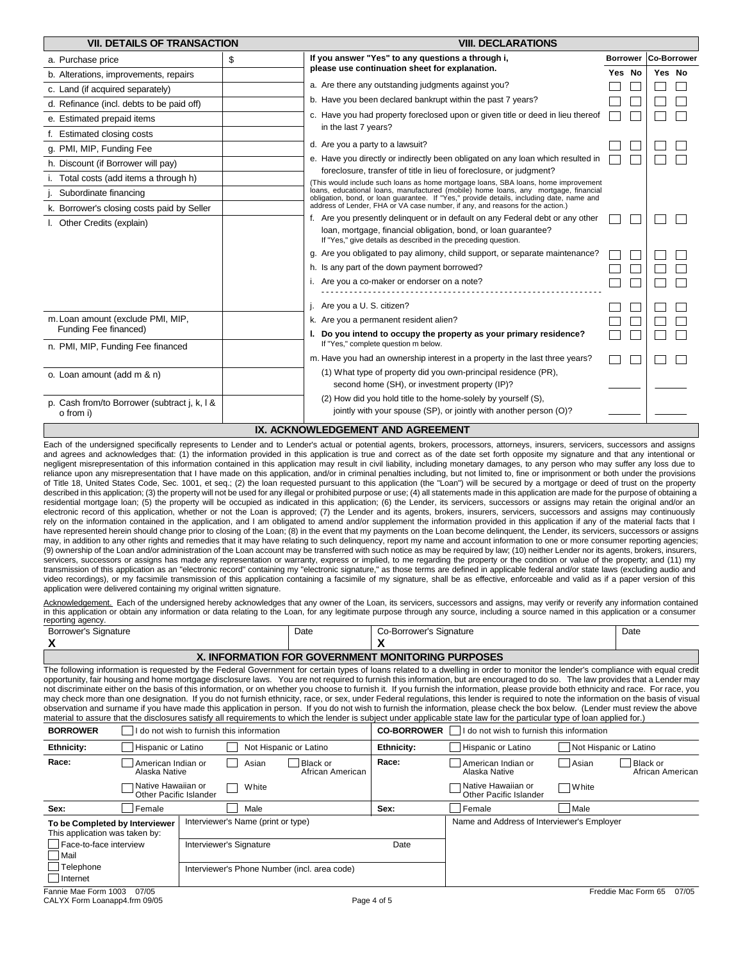| <b>VII. DETAILS OF TRANSACTION</b>           | <b>VIII. DECLARATIONS</b>                                                                                                                                                                                                                                         |                 |             |
|----------------------------------------------|-------------------------------------------------------------------------------------------------------------------------------------------------------------------------------------------------------------------------------------------------------------------|-----------------|-------------|
| a. Purchase price                            | \$<br>If you answer "Yes" to any questions a through i,                                                                                                                                                                                                           | <b>Borrower</b> | Co-Borrower |
| b. Alterations, improvements, repairs        | please use continuation sheet for explanation.                                                                                                                                                                                                                    | Yes No          | Yes No      |
| c. Land (if acquired separately)             | a. Are there any outstanding judgments against you?                                                                                                                                                                                                               |                 |             |
| d. Refinance (incl. debts to be paid off)    | b. Have you been declared bankrupt within the past 7 years?                                                                                                                                                                                                       |                 |             |
| e. Estimated prepaid items                   | c. Have you had property foreclosed upon or given title or deed in lieu thereof                                                                                                                                                                                   |                 |             |
| f. Estimated closing costs                   | in the last 7 years?                                                                                                                                                                                                                                              |                 |             |
| g. PMI, MIP, Funding Fee                     | d. Are you a party to a lawsuit?                                                                                                                                                                                                                                  |                 |             |
| h. Discount (if Borrower will pay)           | e. Have you directly or indirectly been obligated on any loan which resulted in                                                                                                                                                                                   |                 |             |
| i. Total costs (add items a through h)       | foreclosure, transfer of title in lieu of foreclosure, or judgment?<br>(This would include such loans as home mortgage loans, SBA loans, home improvement                                                                                                         |                 |             |
| Subordinate financing                        | loans, educational loans, manufactured (mobile) home loans, any mortgage, financial<br>obligation, bond, or loan guarantee. If "Yes," provide details, including date, name and<br>address of Lender, FHA or VA case number, if any, and reasons for the action.) |                 |             |
| k. Borrower's closing costs paid by Seller   |                                                                                                                                                                                                                                                                   |                 |             |
| I. Other Credits (explain)                   | f. Are you presently delinguent or in default on any Federal debt or any other<br>loan, mortgage, financial obligation, bond, or loan guarantee?<br>If "Yes," give details as described in the preceding question.                                                |                 |             |
|                                              | g. Are you obligated to pay alimony, child support, or separate maintenance?                                                                                                                                                                                      |                 |             |
|                                              | h. Is any part of the down payment borrowed?                                                                                                                                                                                                                      |                 |             |
|                                              | i. Are you a co-maker or endorser on a note?                                                                                                                                                                                                                      |                 |             |
|                                              | Are you a U. S. citizen?                                                                                                                                                                                                                                          |                 |             |
| m. Loan amount (exclude PMI, MIP,            | k. Are you a permanent resident alien?                                                                                                                                                                                                                            |                 |             |
| Funding Fee financed)                        | I. Do you intend to occupy the property as your primary residence?                                                                                                                                                                                                |                 |             |
| n. PMI, MIP, Funding Fee financed            | If "Yes," complete question m below.                                                                                                                                                                                                                              |                 |             |
|                                              | m. Have you had an ownership interest in a property in the last three years?                                                                                                                                                                                      |                 |             |
| o. Loan amount (add m & n)                   | (1) What type of property did you own-principal residence (PR),<br>second home (SH), or investment property (IP)?                                                                                                                                                 |                 |             |
| p. Cash from/to Borrower (subtract j, k, l & | (2) How did you hold title to the home-solely by yourself (S),                                                                                                                                                                                                    |                 |             |
| o from i)                                    | jointly with your spouse (SP), or jointly with another person (O)?                                                                                                                                                                                                |                 |             |
|                                              | IX. ACKNOWLEDGEMENT AND AGREEMENT                                                                                                                                                                                                                                 |                 |             |

Each of the undersigned specifically represents to Lender and to Lender's actual or potential agents, brokers, processors, attorneys, insurers, servicers, successors and assigns and agrees and acknowledges that: (1) the information provided in this application is true and correct as of the date set forth opposite my signature and that any intentional or negligent misrepresentation of this information contained in this application may result in civil liability, including monetary damages, to any person who may suffer any loss due to reliance upon any misrepresentation that I have made on this application, and/or in criminal penalties including, but not limited to, fine or imprisonment or both under the provisions of Title 18, United States Code, Sec. 1001, et seq.; (2) the loan requested pursuant to this application (the "Loan") will be secured by a mortgage or deed of trust on the property described in this application; (3) the property will not be used for any illegal or prohibited purpose or use; (4) all statements made in this application are made for the purpose of obtaining a residential mortgage loan; (5) the property will be occupied as indicated in this application; (6) the Lender, its servicers, successors or assigns may retain the original and/or an electronic record of this application, whether or not the Loan is approved; (7) the Lender and its agents, brokers, insurers, servicers, successors and assigns may continuously rely on the information contained in the application, and I am obligated to amend and/or supplement the information provided in this application if any of the material facts that I have represented herein should change prior to closing of the Loan; (8) in the event that my payments on the Loan become delinquent, the Lender, its servicers, successors or assigns may, in addition to any other rights and remedies that it may have relating to such delinquency, report my name and account information to one or more consumer reporting agencies; (9) ownership of the Loan and/or administration of the Loan account may be transferred with such notice as may be required by law; (10) neither Lender nor its agents, brokers, insurers, servicers, successors or assigns has made any representation or warranty, express or implied, to me regarding the property or the condition or value of the property; and (11) my transmission of this application as an "electronic record" containing my "electronic signature," as those terms are defined in applicable federal and/or state laws (excluding audio and video recordings), or my facsimile transmission of this application containing a facsimile of my signature, shall be as effective, enforceable and valid as if a paper version of this application were delivered containing my original written signature.

Acknowledgement. Each of the undersigned hereby acknowledges that any owner of the Loan, its servicers, successors and assigns, may verify or reverify any information contained in this application or obtain any information or data relating to the Loan, for any legitimate purpose through any source, including a source named in this application or a consumer reporting agency.

| Borrower's Signature                                                                                   |                                                     |  | Date                    | Co-Borrower's Signature                           |                                            |                                                                                                                                                                                                                                                                                                                                                                                                                                                                                                                                                                                                                                                                                                                                                                                                                                                                                                                                                                                                                                                                                                                    | Date         |                              |  |  |
|--------------------------------------------------------------------------------------------------------|-----------------------------------------------------|--|-------------------------|---------------------------------------------------|--------------------------------------------|--------------------------------------------------------------------------------------------------------------------------------------------------------------------------------------------------------------------------------------------------------------------------------------------------------------------------------------------------------------------------------------------------------------------------------------------------------------------------------------------------------------------------------------------------------------------------------------------------------------------------------------------------------------------------------------------------------------------------------------------------------------------------------------------------------------------------------------------------------------------------------------------------------------------------------------------------------------------------------------------------------------------------------------------------------------------------------------------------------------------|--------------|------------------------------|--|--|
| X                                                                                                      |                                                     |  |                         |                                                   |                                            |                                                                                                                                                                                                                                                                                                                                                                                                                                                                                                                                                                                                                                                                                                                                                                                                                                                                                                                                                                                                                                                                                                                    |              |                              |  |  |
|                                                                                                        |                                                     |  |                         | X. INFORMATION FOR GOVERNMENT MONITORING PURPOSES |                                            |                                                                                                                                                                                                                                                                                                                                                                                                                                                                                                                                                                                                                                                                                                                                                                                                                                                                                                                                                                                                                                                                                                                    |              |                              |  |  |
|                                                                                                        |                                                     |  |                         |                                                   |                                            | The following information is requested by the Federal Government for certain types of loans related to a dwelling in order to monitor the lender's compliance with equal credit<br>opportunity, fair housing and home mortgage disclosure laws. You are not required to furnish this information, but are encouraged to do so. The law provides that a Lender may<br>not discriminate either on the basis of this information, or on whether you choose to furnish it. If you furnish the information, please provide both ethnicity and race. For race, you<br>may check more than one designation. If you do not furnish ethnicity, race, or sex, under Federal regulations, this lender is required to note the information on the basis of visual<br>observation and surname if you have made this application in person. If you do not wish to furnish the information, please check the box below. (Lender must review the above<br>material to assure that the disclosures satisfy all requirements to which the lender is subject under applicable state law for the particular type of loan applied for.) |              |                              |  |  |
| <b>BORROWER</b><br>do not wish to furnish this information                                             |                                                     |  |                         |                                                   |                                            | <b>CO-BORROWER</b>   I do not wish to furnish this information                                                                                                                                                                                                                                                                                                                                                                                                                                                                                                                                                                                                                                                                                                                                                                                                                                                                                                                                                                                                                                                     |              |                              |  |  |
| Ethnicity:                                                                                             | Hispanic or Latino                                  |  |                         | Not Hispanic or Latino                            | Ethnicity:                                 | Hispanic or Latino                                                                                                                                                                                                                                                                                                                                                                                                                                                                                                                                                                                                                                                                                                                                                                                                                                                                                                                                                                                                                                                                                                 |              | Not Hispanic or Latino       |  |  |
| Race:                                                                                                  | American Indian or<br>Alaska Native                 |  | Asian                   | Black or<br>African American                      | Race:                                      | American Indian or<br>Alaska Native                                                                                                                                                                                                                                                                                                                                                                                                                                                                                                                                                                                                                                                                                                                                                                                                                                                                                                                                                                                                                                                                                | <b>Asian</b> | Black or<br>African American |  |  |
|                                                                                                        | Native Hawaiian or<br><b>Other Pacific Islander</b> |  | <b>White</b>            |                                                   |                                            | Native Hawaiian or<br>Other Pacific Islander                                                                                                                                                                                                                                                                                                                                                                                                                                                                                                                                                                                                                                                                                                                                                                                                                                                                                                                                                                                                                                                                       | White        |                              |  |  |
| Sex:                                                                                                   | Female                                              |  | Male                    |                                                   | Sex:                                       | Female                                                                                                                                                                                                                                                                                                                                                                                                                                                                                                                                                                                                                                                                                                                                                                                                                                                                                                                                                                                                                                                                                                             | Male         |                              |  |  |
| Interviewer's Name (print or type)<br>To be Completed by Interviewer<br>This application was taken by: |                                                     |  |                         |                                                   | Name and Address of Interviewer's Employer |                                                                                                                                                                                                                                                                                                                                                                                                                                                                                                                                                                                                                                                                                                                                                                                                                                                                                                                                                                                                                                                                                                                    |              |                              |  |  |
| Face-to-face interview<br>Mail                                                                         |                                                     |  | Interviewer's Signature |                                                   | Date                                       |                                                                                                                                                                                                                                                                                                                                                                                                                                                                                                                                                                                                                                                                                                                                                                                                                                                                                                                                                                                                                                                                                                                    |              |                              |  |  |
| Telephone<br>Internet                                                                                  |                                                     |  |                         | Interviewer's Phone Number (incl. area code)      |                                            |                                                                                                                                                                                                                                                                                                                                                                                                                                                                                                                                                                                                                                                                                                                                                                                                                                                                                                                                                                                                                                                                                                                    |              |                              |  |  |
| Fannie Mae Form 1003                                                                                   | 07/05                                               |  |                         |                                                   |                                            |                                                                                                                                                                                                                                                                                                                                                                                                                                                                                                                                                                                                                                                                                                                                                                                                                                                                                                                                                                                                                                                                                                                    |              | Freddie Mac Form 65<br>07/05 |  |  |